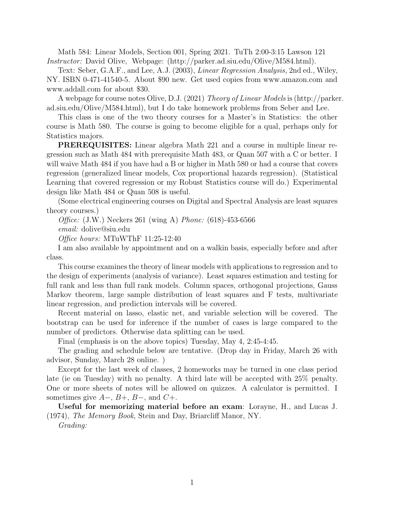Math 584: Linear Models, Section 001, Spring 2021. TuTh 2:00-3:15 Lawson 121 Instructor: David Olive, Webpage: (http://parker.ad.siu.edu/Olive/M584.html).

Text: Seber, G.A.F., and Lee, A.J. (2003), *Linear Regression Analysis*, 2nd ed., Wiley, NY. ISBN 0-471-41540-5. About \$90 new. Get used copies from www.amazon.com and www.addall.com for about \$30.

A webpage for course notes Olive, D.J. (2021) Theory of Linear Models is (http://parker. ad.siu.edu/Olive/M584.html), but I do take homework problems from Seber and Lee.

This class is one of the two theory courses for a Master's in Statistics: the other course is Math 580. The course is going to become eligible for a qual, perhaps only for Statistics majors.

PREREQUISITES: Linear algebra Math 221 and a course in multiple linear regression such as Math 484 with prerequisite Math 483, or Quan 507 with a C or better. I will waive Math 484 if you have had a B or higher in Math 580 or had a course that covers regression (generalized linear models, Cox proportional hazards regression). (Statistical Learning that covered regression or my Robust Statistics course will do.) Experimental design like Math 484 or Quan 508 is useful.

(Some electrical engineering courses on Digital and Spectral Analysis are least squares theory courses.)

Office: (J.W.) Neckers 261 (wing A) Phone: (618)-453-6566

email: dolive@siu.edu

Office hours: MTuWThF 11:25-12:40

I am also available by appointment and on a walkin basis, especially before and after class.

This course examines the theory of linear models with applications to regression and to the design of experiments (analysis of variance). Least squares estimation and testing for full rank and less than full rank models. Column spaces, orthogonal projections, Gauss Markov theorem, large sample distribution of least squares and F tests, multivariate linear regression, and prediction intervals will be covered.

Recent material on lasso, elastic net, and variable selection will be covered. The bootstrap can be used for inference if the number of cases is large compared to the number of predictors. Otherwise data splitting can be used.

Final (emphasis is on the above topics) Tuesday, May 4, 2:45-4:45.

The grading and schedule below are tentative. (Drop day in Friday, March 26 with advisor, Sunday, March 28 online. )

Except for the last week of classes, 2 homeworks may be turned in one class period late (ie on Tuesday) with no penalty. A third late will be accepted with 25% penalty. One or more sheets of notes will be allowed on quizzes. A calculator is permitted. I sometimes give  $A-$ ,  $B+$ ,  $B-$ , and  $C+$ .

Useful for memorizing material before an exam: Lorayne, H., and Lucas J. (1974), The Memory Book, Stein and Day, Briarcliff Manor, NY.

Grading: